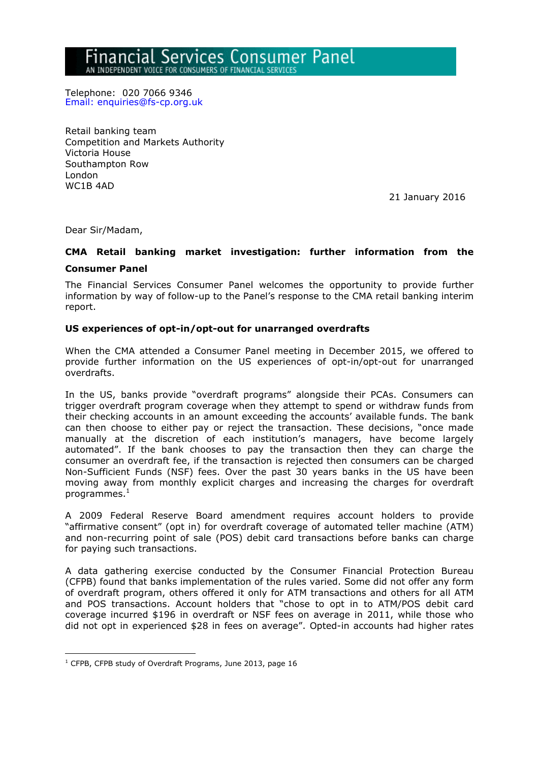# nancial Services Consumer Panel

AN INDEPENDENT VOICE FOR CONSUMERS OF FINANCIAL SERVICE

Telephone: 020 7066 9346 Email: enquiries@fs-cp.org.uk

Retail banking team Competition and Markets Authority Victoria House Southampton Row London WC1B 4AD

21 January 2016

Dear Sir/Madam,

## **CMA Retail banking market investigation: further information from the**

#### **Consumer Panel**

<u>.</u>

The Financial Services Consumer Panel welcomes the opportunity to provide further information by way of follow-up to the Panel's response to the CMA retail banking interim report.

#### **US experiences of opt-in/opt-out for unarranged overdrafts**

When the CMA attended a Consumer Panel meeting in December 2015, we offered to provide further information on the US experiences of opt-in/opt-out for unarranged overdrafts.

In the US, banks provide "overdraft programs" alongside their PCAs. Consumers can trigger overdraft program coverage when they attempt to spend or withdraw funds from their checking accounts in an amount exceeding the accounts' available funds. The bank can then choose to either pay or reject the transaction. These decisions, "once made manually at the discretion of each institution's managers, have become largely automated". If the bank chooses to pay the transaction then they can charge the consumer an overdraft fee, if the transaction is rejected then consumers can be charged Non-Sufficient Funds (NSF) fees. Over the past 30 years banks in the US have been moving away from monthly explicit charges and increasing the charges for overdraft  $programmes.<sup>1</sup>$ 

A 2009 Federal Reserve Board amendment requires account holders to provide "affirmative consent" (opt in) for overdraft coverage of automated teller machine (ATM) and non-recurring point of sale (POS) debit card transactions before banks can charge for paying such transactions.

A data gathering exercise conducted by the Consumer Financial Protection Bureau (CFPB) found that banks implementation of the rules varied. Some did not offer any form of overdraft program, others offered it only for ATM transactions and others for all ATM and POS transactions. Account holders that "chose to opt in to ATM/POS debit card coverage incurred \$196 in overdraft or NSF fees on average in 2011, while those who did not opt in experienced \$28 in fees on average". Opted-in accounts had higher rates

 $1$  CFPB, CFPB study of Overdraft Programs, June 2013, page 16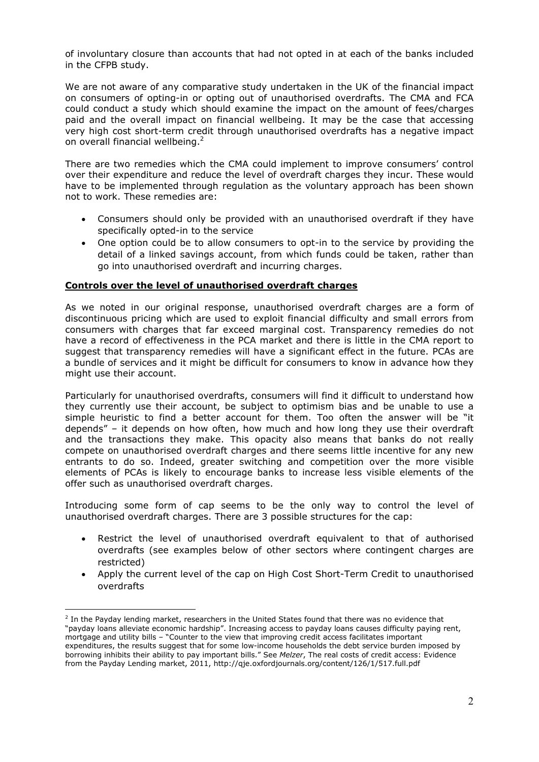of involuntary closure than accounts that had not opted in at each of the banks included in the CFPB study.

We are not aware of any comparative study undertaken in the UK of the financial impact on consumers of opting-in or opting out of unauthorised overdrafts. The CMA and FCA could conduct a study which should examine the impact on the amount of fees/charges paid and the overall impact on financial wellbeing. It may be the case that accessing very high cost short-term credit through unauthorised overdrafts has a negative impact on overall financial wellbeing.<sup>2</sup>

There are two remedies which the CMA could implement to improve consumers' control over their expenditure and reduce the level of overdraft charges they incur. These would have to be implemented through regulation as the voluntary approach has been shown not to work. These remedies are:

- Consumers should only be provided with an unauthorised overdraft if they have specifically opted-in to the service
- One option could be to allow consumers to opt-in to the service by providing the detail of a linked savings account, from which funds could be taken, rather than go into unauthorised overdraft and incurring charges.

## **Controls over the level of unauthorised overdraft charges**

As we noted in our original response, unauthorised overdraft charges are a form of discontinuous pricing which are used to exploit financial difficulty and small errors from consumers with charges that far exceed marginal cost. Transparency remedies do not have a record of effectiveness in the PCA market and there is little in the CMA report to suggest that transparency remedies will have a significant effect in the future. PCAs are a bundle of services and it might be difficult for consumers to know in advance how they might use their account.

Particularly for unauthorised overdrafts, consumers will find it difficult to understand how they currently use their account, be subject to optimism bias and be unable to use a simple heuristic to find a better account for them. Too often the answer will be "it depends" – it depends on how often, how much and how long they use their overdraft and the transactions they make. This opacity also means that banks do not really compete on unauthorised overdraft charges and there seems little incentive for any new entrants to do so. Indeed, greater switching and competition over the more visible elements of PCAs is likely to encourage banks to increase less visible elements of the offer such as unauthorised overdraft charges.

Introducing some form of cap seems to be the only way to control the level of unauthorised overdraft charges. There are 3 possible structures for the cap:

- Restrict the level of unauthorised overdraft equivalent to that of authorised overdrafts (see examples below of other sectors where contingent charges are restricted)
- Apply the current level of the cap on High Cost Short-Term Credit to unauthorised overdrafts

1

 $<sup>2</sup>$  In the Payday lending market, researchers in the United States found that there was no evidence that</sup> "payday loans alleviate economic hardship". Increasing access to payday loans causes difficulty paying rent, mortgage and utility bills – "Counter to the view that improving credit access facilitates important expenditures, the results suggest that for some low-income households the debt service burden imposed by borrowing inhibits their ability to pay important bills." See *Melzer*, The real costs of credit access: Evidence from the Payday Lending market, 2011, http://qje.oxfordjournals.org/content/126/1/517.full.pdf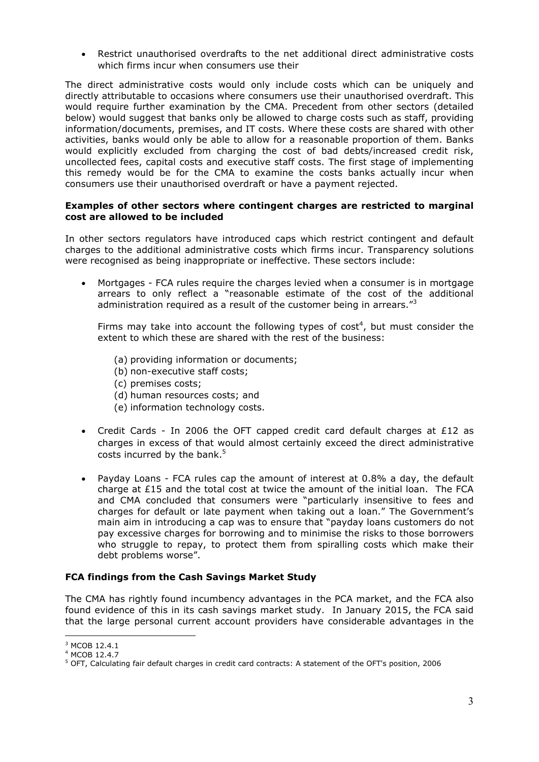Restrict unauthorised overdrafts to the net additional direct administrative costs which firms incur when consumers use their

The direct administrative costs would only include costs which can be uniquely and directly attributable to occasions where consumers use their unauthorised overdraft. This would require further examination by the CMA. Precedent from other sectors (detailed below) would suggest that banks only be allowed to charge costs such as staff, providing information/documents, premises, and IT costs. Where these costs are shared with other activities, banks would only be able to allow for a reasonable proportion of them. Banks would explicitly excluded from charging the cost of bad debts/increased credit risk, uncollected fees, capital costs and executive staff costs. The first stage of implementing this remedy would be for the CMA to examine the costs banks actually incur when consumers use their unauthorised overdraft or have a payment rejected.

#### **Examples of other sectors where contingent charges are restricted to marginal cost are allowed to be included**

In other sectors regulators have introduced caps which restrict contingent and default charges to the additional administrative costs which firms incur. Transparency solutions were recognised as being inappropriate or ineffective. These sectors include:

 Mortgages - FCA rules require the charges levied when a consumer is in mortgage arrears to only reflect a "reasonable estimate of the cost of the additional administration required as a result of the customer being in arrears."<sup>3</sup>

Firms may take into account the following types of cost<sup>4</sup>, but must consider the extent to which these are shared with the rest of the business:

- (a) providing information or documents; (b) non-executive staff costs; (c) premises costs; (d) human resources costs; and (e) information technology costs.
- Credit Cards In 2006 the OFT capped credit card default charges at  $£12$  as charges in excess of that would almost certainly exceed the direct administrative costs incurred by the bank. $5$
- Payday Loans FCA rules cap the amount of interest at 0.8% a day, the default charge at £15 and the total cost at twice the amount of the initial loan. The FCA and CMA concluded that consumers were "particularly insensitive to fees and charges for default or late payment when taking out a loan." The Government's main aim in introducing a cap was to ensure that "payday loans customers do not pay excessive charges for borrowing and to minimise the risks to those borrowers who struggle to repay, to protect them from spiralling costs which make their debt problems worse".

# **FCA findings from the Cash Savings Market Study**

The CMA has rightly found incumbency advantages in the PCA market, and the FCA also found evidence of this in its cash savings market study. In January 2015, the FCA said that the large personal current account providers have considerable advantages in the

<u>.</u>

<sup>&</sup>lt;sup>3</sup> MCOB 12.4.1

<sup>4</sup> MCOB 12.4.7

<sup>5</sup> OFT, Calculating fair default charges in credit card contracts: A statement of the OFT's position, 2006